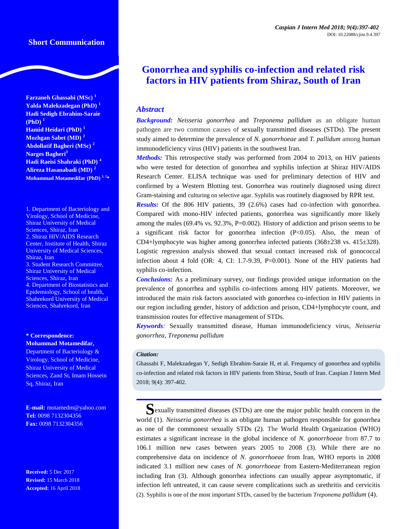### **Short Communication**

**Farzaneh Ghassabi (MSc) <sup>1</sup> Yalda Malekzadegan (PhD) <sup>1</sup> Hadi Sedigh Ebrahim-Saraie**   $(PhD)<sup>1</sup>$ **Hamid Heidari (PhD) <sup>1</sup> Mozhgan Sabet (MD) <sup>2</sup> Abdollatif Bagheri (MSc) <sup>2</sup> Narges Bagheri<sup>3</sup> Hadi Raeisi Shahraki (PhD) <sup>4</sup> Alireza Hasanabadi (MD) <sup>2</sup> Mohammad Motamedifar (PhD) 1, <sup>2</sup> \***

1. Department of Bacteriology and Virology, School of Medicine, Shiraz University of Medical Sciences, Shiraz, Iran 2. Shiraz HIV/AIDS Research Center, Institute of Health, Shiraz University of Medical Sciences, Shiraz, Iran 3. Student Research Committee, Shiraz University of Medical Sciences, Shiraz, Iran 4. Department of Biostatistics and Epidemiology, School of health, Shahrekord University of Medical Sciences, Shahrekord, Iran

#### **\* Correspondence: Mohammad Motamedifar,**

Department of Bacteriology & Virology, School of Medicine, Shiraz University of Medical Sciences, Zand St, Imam Hossein Sq, Shiraz, Iran

**E-mail:** motamedm@yahoo.com **Tel:** 0098 7132304356 **Fax:** 0098 7132304356

**Received:** 5 Dec 2017 **Revised:** 15 March 2018 **Accepted:** 16 April 2018

# **Gonorrhea and syphilis co-infection and related risk factors in HIV patients from Shiraz, South of Iran**

# *Abstract*

*Background: Neisseria gonorrhea* and *Treponema pallidum* as an obligate human pathogen are two common causes of sexually transmitted diseases (STDs). The present study aimed to determine the prevalence of *N. gonorrhoeae* and *T. pallidum* among human immunodeficiency virus (HIV) patients in the southwest Iran.

*Methods:* This retrospective study was performed from 2004 to 2013, on HIV patients who were tested for detection of gonorrhea and syphilis infection at Shiraz HIV/AIDS Research Center. ELISA technique was used for preliminary detection of HIV and confirmed by a Western Blotting test. Gonorrhea was routinely diagnosed using direct Gram-staining and culturing on selective agar. Syphilis was routinely diagnosed by RPR test.

*Results:* Of the 806 HIV patients, 39 (2.6%) cases had co-infection with gonorrhea. Compared with mono-HIV infected patients, gonorrhea was significantly more likely among the males  $(69.4\% \text{ vs. } 92.3\%, \text{ P=0.002})$ . History of addiction and prison seems to be a significant risk factor for gonorrhea infection (P<0.05). Also, the mean of CD4+lymphocyte was higher among gonorrhea infected patients  $(368\pm238 \text{ vs. } 415\pm328)$ . Logistic regression analysis showed that sexual contact increased risk of gonococcal infection about 4 fold (OR: 4, CI: 1.7-9.39, P=0.001). None of the HIV patients had syphilis co-infection.

*Conclusions:* As a preliminary survey, our findings provided unique information on the prevalence of gonorrhea and syphilis co-infections among HIV patients. Moreover, we introduced the main risk factors associated with gonorrhea co-infection in HIV patients in our region including gender, history of addiction and prison, CD4+lymphocyte count, and transmission routes for effective management of STDs.

*Keywords:* Sexually transmitted disease, Human immunodeficiency virus, *Neisseria gonorrhea*, *Treponema pallidum*

#### *Citation:*

Ghassabi F, Malekzadegan Y, Sedigh Ebrahim-Saraie H, et al. Frequency of gonorrhea and syphilis co-infection and related risk factors in HIV patients from Shiraz, South of Iran. Caspian J Intern Med 2018; 9(4): 397-402.

**S**exually transmitted diseases (STDs) are one the major public health concern in the world (1). *Neisseria gonorrhea* is an obligate human pathogen responsible for gonorrhea as one of the commonest sexually STDs (2). The World Health Organization (WHO) estimates a significant increase in the global incidence of *N. gonorrhoeae* from 87.7 to 106.1 million new cases between years 2005 to 2008 (3). While there are no comprehensive data on incidence of *N. gonorrhoeae* from Iran, WHO reports in 2008 indicated 3.1 million new cases of *N. gonorrhoeae* from Eastern-Mediterranean region including Iran (3). Although gonorrhea infections can usually appear asymptomatic, if infection left untreated, it can cause severe complications such as urethritis and cervicitis (2). Syphilis is one of the most important STDs, caused by the bacterium *Treponema pallidum* (4).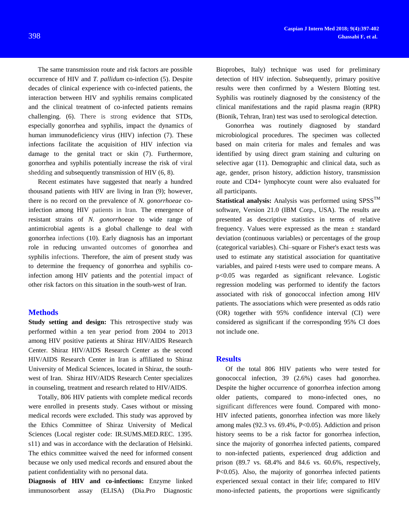The same transmission route and risk factors are possible occurrence of HIV and *T. pallidum* co-infection (5). Despite decades of clinical experience with co-infected patients, the interaction between HIV and syphilis remains complicated and the clinical treatment of co-infected patients remains challenging. (6). There is strong evidence that STDs, especially gonorrhea and syphilis, impact the dynamics of human immunodeficiency virus (HIV) infection (7). These infections facilitate the acquisition of HIV infection via damage to the genital tract or skin (7). Furthermore, gonorrhea and syphilis potentially increase the risk of viral shedding and subsequently transmission of HIV (6, 8).

Recent estimates have suggested that nearly a hundred thousand patients with HIV are living in Iran (9); however, there is no record on the prevalence of *N. gonorrhoeae* coinfection among HIV patients in Iran. The emergence of resistant strains of *N. gonorrhoeae* to wide range of antimicrobial agents is a global challenge to deal with gonorrhea infections (10). Early diagnosis has an important role in reducing unwanted outcomes of gonorrhea and syphilis infections. Therefore, the aim of present study was to determine the frequency of gonorrhea and syphilis coinfection among HIV patients and the potential impact of other risk factors on this situation in the south-west of Iran.

#### **Methods**

**Study setting and design:** This retrospective study was performed within a ten year period from 2004 to 2013 among HIV positive patients at Shiraz HIV/AIDS Research Center. Shiraz HIV/AIDS Research Center as the second HIV/AIDS Research Center in Iran is affiliated to Shiraz University of Medical Sciences, located in Shiraz, the southwest of Iran. Shiraz HIV/AIDS Research Center specializes in counseling, treatment and research related to HIV/AIDS.

Totally, 806 HIV patients with complete medical records were enrolled in presents study. Cases without or missing medical records were excluded. This study was approved by the Ethics Committee of Shiraz University of Medical Sciences (Local register code: IR.SUMS.MED.REC. 1395. s11) and was in accordance with the declaration of Helsinki. The ethics committee waived the need for informed consent because we only used medical records and ensured about the patient confidentiality with no personal data.

**Diagnosis of HIV and co-infections:** Enzyme linked immunosorbent assay (ELISA) (Dia.Pro Diagnostic

Bioprobes, Italy) technique was used for preliminary detection of HIV infection. Subsequently, primary positive results were then confirmed by a Western Blotting test. Syphilis was routinely diagnosed by the consistency of the clinical manifestations and the rapid plasma reagin (RPR) (Bionik, Tehran, Iran) test was used to serological detection.

Gonorrhea was routinely diagnosed by standard microbiological procedures. The specimen was collected based on main criteria for males and females and was identified by using direct gram staining and culturing on selective agar (11). Demographic and clinical data, such as age, gender, prison history, addiction history, transmission route and CD4+ lymphocyte count were also evaluated for all participants.

Statistical analysis: Analysis was performed using SPSS<sup>TM</sup> software, Version 21.0 (IBM Corp., USA). The results are presented as descriptive statistics in terms of relative frequency. Values were expressed as the mean  $\pm$  standard deviation (continuous variables) or percentages of the group (categorical variables). Chi–square or Fisher's exact tests was used to estimate any statistical association for quantitative variables, and paired *t*-tests were used to compare means. A p<0.05 was regarded as significant relevance. Logistic regression modeling was performed to identify the factors associated with risk of gonococcal infection among HIV patients. The associations which were presented as odds ratio (OR) together with 95% confidence interval (CI) were considered as significant if the corresponding 95% CI does not include one.

#### **Results**

Of the total 806 HIV patients who were tested for gonococcal infection, 39 (2.6%) cases had gonorrhea. Despite the higher occurrence of gonorrhea infection among older patients, compared to mono-infected ones, no significant differences were found. Compared with mono-HIV infected patients, gonorrhea infection was more likely among males (92.3 vs. 69.4%, P<0.05). Addiction and prison history seems to be a risk factor for gonorrhea infection, since the majority of gonorrhea infected patients, compared to non-infected patients, experienced drug addiction and prison (89.7 vs. 68.4% and 84.6 vs. 60.6%, respectively, P<0.05). Also, the majority of gonorrhea infected patients experienced sexual contact in their life; compared to HIV mono-infected patients, the proportions were significantly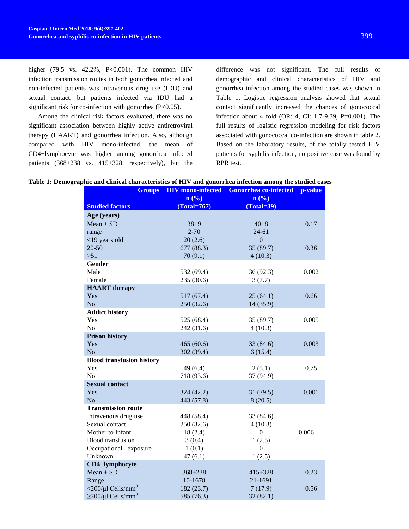higher (79.5 vs. 42.2%, P<0.001). The common HIV infection transmission routes in both gonorrhea infected and non-infected patients was intravenous drug use (IDU) and sexual contact, but patients infected via IDU had a significant risk for co-infection with gonorrhea (P<0.05).

Among the clinical risk factors evaluated, there was no significant association between highly active antiretroviral therapy (HAART) and gonorrhea infection. Also, although compared with HIV mono-infected, the mean of CD4+lymphocyte was higher among gonorrhea infected patients (368±238 vs. 415±328, respectively), but the

difference was not significant. The full results of demographic and clinical characteristics of HIV and gonorrhea infection among the studied cases was shown in Table 1. Logistic regression analysis showed that sexual contact significantly increased the chances of gonococcal infection about 4 fold (OR: 4, CI: 1.7-9.39, P=0.001). The full results of logistic regression modeling for risk factors associated with gonococcal co-infection are shown in table 2. Based on the laboratory results, of the totally tested HIV patients for syphilis infection, no positive case was found by RPR test.

| Table 1: Demographic and clinical characteristics of HIV and gonorrhea infection among the studied cases |
|----------------------------------------------------------------------------------------------------------|
|----------------------------------------------------------------------------------------------------------|

| <b>Groups</b>                                  | <b>HIV</b> mono-infected | <b>Gonorrhea co-infected</b> | p-value |
|------------------------------------------------|--------------------------|------------------------------|---------|
|                                                | n(%                      | n(%)                         |         |
| <b>Studied factors</b>                         | $(Total = 767)$          | $(Total = 39)$               |         |
| Age (years)                                    |                          |                              |         |
| $Mean \pm SD$                                  | $38 + 9$                 | $40\pm8$                     | 0.17    |
| range                                          | $2 - 70$                 | $24 - 61$                    |         |
| <19 years old                                  | 20(2.6)                  | $\overline{0}$               |         |
| $20 - 50$                                      | 677 (88.3)               | 35 (89.7)                    | 0.36    |
| $>51$                                          | 70(9.1)                  | 4(10.3)                      |         |
| Gender                                         |                          |                              |         |
| Male                                           | 532 (69.4)               | 36(92.3)                     | 0.002   |
| Female                                         | 235 (30.6)               | 3(7.7)                       |         |
| <b>HAART</b> therapy                           |                          |                              |         |
| Yes                                            | 517 (67.4)               | 25(64.1)                     | 0.66    |
| N <sub>o</sub>                                 | 250(32.6)                | 14 (35.9)                    |         |
| <b>Addict history</b>                          |                          |                              |         |
| Yes                                            | 525 (68.4)               | 35 (89.7)                    | 0.005   |
| N <sub>o</sub>                                 | 242 (31.6)               | 4(10.3)                      |         |
| <b>Prison history</b>                          |                          |                              |         |
| Yes                                            | 465(60.6)                | 33 (84.6)                    | 0.003   |
| N <sub>o</sub>                                 | 302 (39.4)               | 6(15.4)                      |         |
| <b>Blood transfusion history</b>               |                          |                              |         |
| Yes                                            | 49 (6.4)                 | 2(5.1)                       | 0.75    |
| N <sub>o</sub>                                 | 718 (93.6)               | 37 (94.9)                    |         |
| <b>Sexual contact</b>                          |                          |                              |         |
| Yes                                            | 324 (42.2)               | 31(79.5)                     | 0.001   |
| N <sub>o</sub>                                 | 443 (57.8)               | 8(20.5)                      |         |
| <b>Transmission route</b>                      |                          |                              |         |
| Intravenous drug use                           | 448 (58.4)               | 33 (84.6)                    |         |
| Sexual contact                                 | 250 (32.6)               | 4(10.3)                      |         |
| Mother to Infant                               | 18(2.4)                  | $\theta$                     | 0.006   |
| <b>Blood</b> transfusion                       | 3(0.4)                   | 1(2.5)                       |         |
| Occupational exposure                          | 1(0.1)                   | $\theta$                     |         |
| Unknown                                        | 47(6.1)                  | 1(2.5)                       |         |
| CD4+lymphocyte                                 |                          |                              |         |
| $Mean \pm SD$                                  | 368±238                  | $415 \pm 328$                | 0.23    |
| Range                                          | 10-1678                  | 21-1691                      |         |
| $\langle 200/\mu l \text{ Cells/mm}^3 \rangle$ | 182 (23.7)               | 7(17.9)                      | 0.56    |
| $\geq$ 200/µl Cells/mm <sup>3</sup>            | 585 (76.3)               | 32(82.1)                     |         |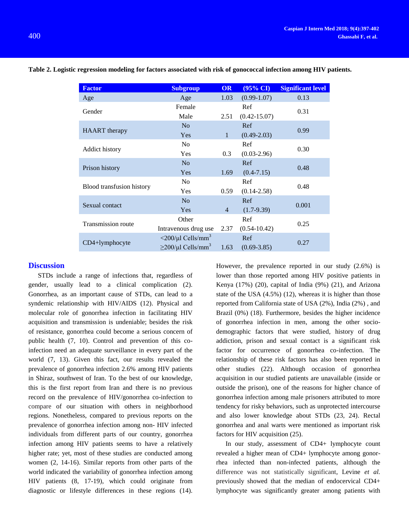| <b>Factor</b>             | <b>Subgroup</b>                                                               | <b>OR</b>      | $(95\% \text{ CI})$     | <b>Significant level</b> |
|---------------------------|-------------------------------------------------------------------------------|----------------|-------------------------|--------------------------|
| Age                       | Age                                                                           | 1.03           | $(0.99-1.07)$           | 0.13                     |
| Gender                    | Female<br>Male                                                                | 2.51           | Ref<br>$(0.42 - 15.07)$ | 0.31                     |
| <b>HAART</b> therapy      | N <sub>o</sub><br>Yes                                                         | $\mathbf{1}$   | Ref<br>$(0.49 - 2.03)$  | 0.99                     |
| <b>Addict history</b>     | N <sub>o</sub><br><b>Yes</b>                                                  | 0.3            | Ref<br>$(0.03 - 2.96)$  | 0.30                     |
| Prison history            | N <sub>o</sub><br>Yes                                                         | 1.69           | Ref<br>$(0.4 - 7.15)$   | 0.48                     |
| Blood transfusion history | N <sub>0</sub><br>Yes                                                         | 0.59           | Ref<br>$(0.14 - 2.58)$  | 0.48                     |
| Sexual contact            | N <sub>o</sub><br>Yes                                                         | $\overline{4}$ | Ref<br>$(1.7-9.39)$     | 0.001                    |
| <b>Transmission route</b> | Other<br>Intravenous drug use                                                 | 2.37           | Ref<br>$(0.54 - 10.42)$ | 0.25                     |
| $CD4+lymphocyte$          | $\langle 200/\mu l \text{ Cells/mm}^3$<br>$\geq$ 200/µl Cells/mm <sup>3</sup> | 1.63           | Ref<br>$(0.69 - 3.85)$  | 0.27                     |

**Table 2. Logistic regression modeling for factors associated with risk of gonococcal infection among HIV patients.**

# **Discussion**

STDs include a range of infections that, regardless of gender, usually lead to a clinical complication (2). Gonorrhea, as an important cause of STDs, can lead to a syndemic relationship with HIV/AIDS (12). Physical and molecular role of gonorrhea infection in facilitating HIV acquisition and transmission is undeniable; besides the risk of resistance, gonorrhea could become a serious concern of public health (7, 10). Control and prevention of this coinfection need an adequate surveillance in every part of the world (7, 13). Given this fact, our results revealed the prevalence of gonorrhea infection 2.6% among HIV patients in Shiraz, southwest of Iran. To the best of our knowledge, this is the first report from Iran and there is no previous record on the prevalence of HIV/gonorrhea co-infection to compare of our situation with others in neighborhood regions. Nonetheless, compared to previous reports on the prevalence of gonorrhea infection among non- HIV infected individuals from different parts of our country, gonorrhea infection among HIV patients seems to have a relatively higher rate; yet, most of these studies are conducted among women (2, 14-16). Similar reports from other parts of the world indicated the variability of gonorrhea infection among HIV patients (8, 17-19), which could originate from diagnostic or lifestyle differences in these regions (14).

However, the prevalence reported in our study (2.6%) is lower than those reported among HIV positive patients in Kenya (17%) (20), capital of India (9%) (21), and Arizona state of the USA (4.5%) (12), whereas it is higher than those reported from California state of USA (2%), India (2%) , and Brazil (0%) (18). Furthermore, besides the higher incidence of gonorrhea infection in men, among the other sociodemographic factors that were studied, history of drug addiction, prison and sexual contact is a significant risk factor for occurrence of gonorrhea co-infection. The relationship of these risk factors has also been reported in other studies (22). Although occasion of gonorrhea acquisition in our studied patients are unavailable (inside or outside the prison), one of the reasons for higher chance of gonorrhea infection among male prisoners attributed to more tendency for risky behaviors, such as unprotected intercourse and also lower knowledge about STDs (23, 24). Rectal gonorrhea and anal warts were mentioned as important risk factors for HIV acquisition (25).

In our study, assessment of CD4+ lymphocyte count revealed a higher mean of CD4+ lymphocyte among gonorrhea infected than non-infected patients, although the difference was not statistically significant, Levine *et al.* previously showed that the median of endocervical CD4+ lymphocyte was significantly greater among patients with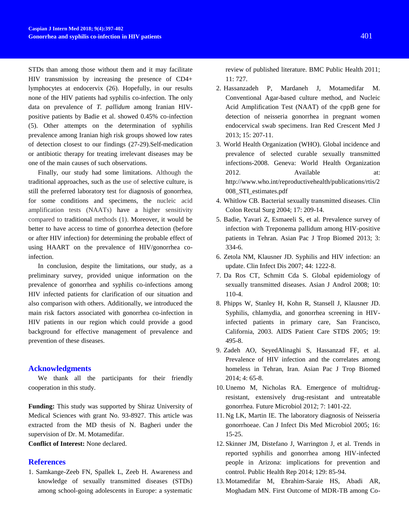STDs than among those without them and it may facilitate HIV transmission by increasing the presence of CD4+ lymphocytes at endocervix (26). Hopefully, in our results none of the HIV patients had syphilis co-infection. The only data on prevalence of *T. pallidum* among Iranian HIVpositive patients by Badie et al. showed 0.45% co-infection (5). Other attempts on the determination of syphilis prevalence among Iranian high risk groups showed low rates of detection closest to our findings (27-29).Self-medication or antibiotic therapy for treating irrelevant diseases may be one of the main causes of such observations.

Finally, our study had some limitations. Although the traditional approaches, such as the use of selective culture, is still the preferred laboratory test for diagnosis of gonorrhea, for some conditions and specimens, the nucleic acid amplification tests (NAATs) have a higher sensitivity compared to traditional methods (1). Moreover, it would be better to have access to time of gonorrhea detection (before or after HIV infection) for determining the probable effect of using HAART on the prevalence of HIV/gonorrhea coinfection.

In conclusion, despite the limitations, our study, as a preliminary survey, provided unique information on the prevalence of gonorrhea and syphilis co-infections among HIV infected patients for clarification of our situation and also comparison with others. Additionally, we introduced the main risk factors associated with gonorrhea co-infection in HIV patients in our region which could provide a good background for effective management of prevalence and prevention of these diseases.

#### **Acknowledgments**

We thank all the participants for their friendly cooperation in this study.

**Funding:** This study was supported by Shiraz University of Medical Sciences with grant No. 93-8927. This article was extracted from the MD thesis of N. Bagheri under the supervision of Dr. M. Motamedifar.

**Conflict of Interest:** None declared.

# **References**

1. Samkange-Zeeb FN, Spallek L, Zeeb H. Awareness and knowledge of sexually transmitted diseases (STDs) among school-going adolescents in Europe: a systematic review of published literature. BMC Public Health 2011; 11: 727.

- 2. Hassanzadeh P, Mardaneh J, Motamedifar M. Conventional Agar-based culture method, and Nucleic Acid Amplification Test (NAAT) of the cppB gene for detection of neisseria gonorrhea in pregnant women endocervical swab specimens. Iran Red Crescent Med J 2013; 15: 207-11.
- 3. World Health Organization (WHO). Global incidence and prevalence of selected curable sexually transmitted infections-2008. Geneva: World Health Organization 2012. Available at: http://www.who.int/reproductivehealth/publications/rtis/2 008\_STI\_estimates.pdf
- 4. Whitlow CB. Bacterial sexually transmitted diseases. Clin Colon Rectal Surg 2004; 17: 209-14.
- 5. Badie, Yavari Z, Esmaeeli S, et al. Prevalence survey of infection with Treponema pallidum among HIV-positive patients in Tehran. Asian Pac J Trop Biomed 2013; 3: 334-6.
- 6. Zetola NM, Klausner JD. Syphilis and HIV infection: an update. Clin Infect Dis 2007; 44: 1222-8.
- 7. Da Ros CT, Schmitt Cda S. Global epidemiology of sexually transmitted diseases. Asian J Androl 2008; 10: 110-4.
- 8. Phipps W, Stanley H, Kohn R, Stansell J, Klausner JD. Syphilis, chlamydia, and gonorrhea screening in HIVinfected patients in primary care, San Francisco, California, 2003. AIDS Patient Care STDS 2005; 19: 495-8.
- 9. Zadeh AO, SeyedAlinaghi S, Hassanzad FF, et al. Prevalence of HIV infection and the correlates among homeless in Tehran, Iran. Asian Pac J Trop Biomed 2014; 4: 65-8.
- 10. Unemo M, Nicholas RA. Emergence of multidrugresistant, extensively drug-resistant and untreatable gonorrhea. Future Microbiol 2012; 7: 1401-22.
- 11. Ng LK, Martin IE. The laboratory diagnosis of Neisseria gonorrhoeae. Can J Infect Dis Med Microbiol 2005; 16: 15-25.
- 12. Skinner JM, Distefano J, Warrington J, et al. Trends in reported syphilis and gonorrhea among HIV-infected people in Arizona: implications for prevention and control. Public Health Rep 2014; 129: 85-94.
- 13. Motamedifar M, Ebrahim-Saraie HS, Abadi AR, Moghadam MN. First Outcome of MDR-TB among Co-